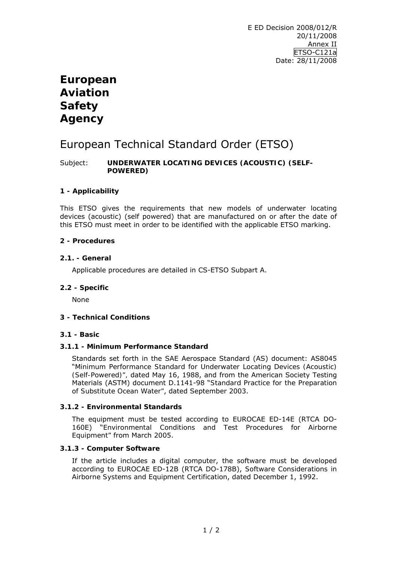# **European Aviation Safety Agency**

# European Technical Standard Order (ETSO)

Subject: **UNDERWATER LOCATING DEVICES (ACOUSTIC) (SELF-POWERED)** 

# **1 - Applicability**

This ETSO gives the requirements that new models of underwater locating devices (acoustic) (self powered) that are manufactured on or after the date of this ETSO must meet in order to be identified with the applicable ETSO marking.

## **2 - Procedures**

## **2.1. - General**

Applicable procedures are detailed in CS-ETSO Subpart A.

#### **2.2 - Specific**

None

# **3 - Technical Conditions**

#### **3.1 - Basic**

### **3.1.1 - Minimum Performance Standard**

Standards set forth in the SAE Aerospace Standard (AS) document: AS8045 "*Minimum Performance Standard for Underwater Locating Devices (Acoustic) (Self-Powered)",* dated May 16, 1988, and from the American Society Testing Materials (ASTM) document D.1141-98 "*Standard Practice for the Preparation of Substitute Ocean Water"*, dated September 2003.

#### **3.1.2 - Environmental Standards**

The equipment must be tested according to EUROCAE ED-14E (RTCA DO-160E) "*Environmental Conditions and Test Procedures for Airborne Equipment"* from March 2005.

#### **3.1.3 - Computer Software**

If the article includes a digital computer, the software must be developed according to EUROCAE ED-12B (RTCA DO-178B), *Software Considerations in Airborne Systems and Equipment Certification*, dated December 1, 1992.